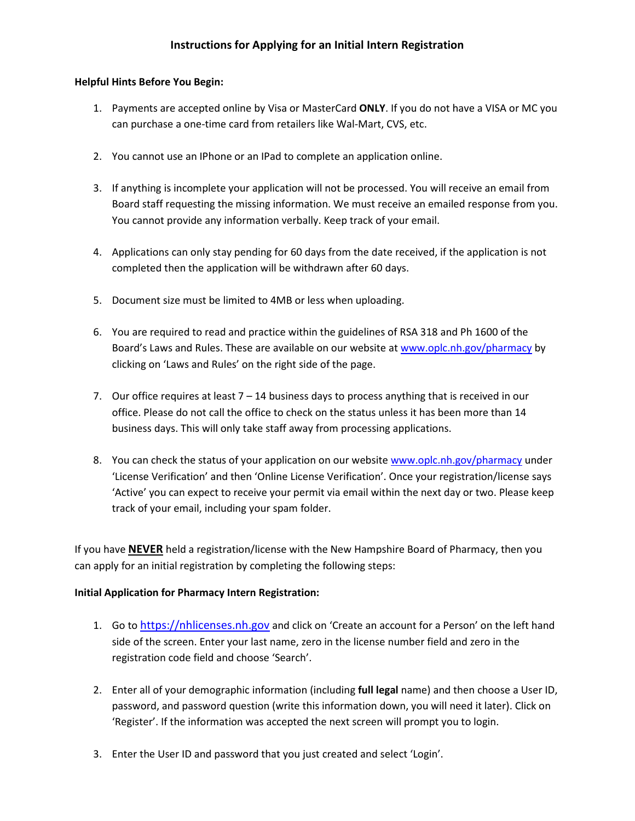## Instructions for Applying for an Initial Intern Registration

## Helpful Hints Before You Begin:

- 1. Payments are accepted online by Visa or MasterCard ONLY. If you do not have a VISA or MC you can purchase a one-time card from retailers like Wal-Mart, CVS, etc.
- 2. You cannot use an IPhone or an IPad to complete an application online.
- 3. If anything is incomplete your application will not be processed. You will receive an email from Board staff requesting the missing information. We must receive an emailed response from you. You cannot provide any information verbally. Keep track of your email.
- 4. Applications can only stay pending for 60 days from the date received, if the application is not completed then the application will be withdrawn after 60 days.
- 5. Document size must be limited to 4MB or less when uploading.
- 6. You are required to read and practice within the guidelines of RSA 318 and Ph 1600 of the Board's Laws and Rules. These are available on our website at www.oplc.nh.gov/pharmacy by clicking on 'Laws and Rules' on the right side of the page.
- 7. Our office requires at least  $7 14$  business days to process anything that is received in our office. Please do not call the office to check on the status unless it has been more than 14 business days. This will only take staff away from processing applications.
- 8. You can check the status of your application on our website www.oplc.nh.gov/pharmacy under 'License Verification' and then 'Online License Verification'. Once your registration/license says 'Active' you can expect to receive your permit via email within the next day or two. Please keep track of your email, including your spam folder.

If you have **NEVER** held a registration/license with the New Hampshire Board of Pharmacy, then you can apply for an initial registration by completing the following steps:

## Initial Application for Pharmacy Intern Registration:

- 1. Go to https://nhlicenses.nh.gov and click on 'Create an account for a Person' on the left hand side of the screen. Enter your last name, zero in the license number field and zero in the registration code field and choose 'Search'.
- 2. Enter all of your demographic information (including full legal name) and then choose a User ID, password, and password question (write this information down, you will need it later). Click on 'Register'. If the information was accepted the next screen will prompt you to login.
- 3. Enter the User ID and password that you just created and select 'Login'.